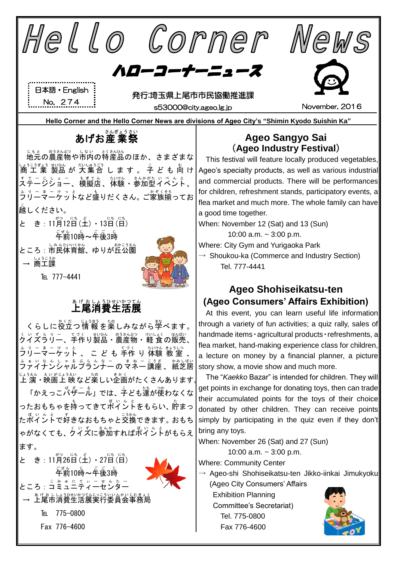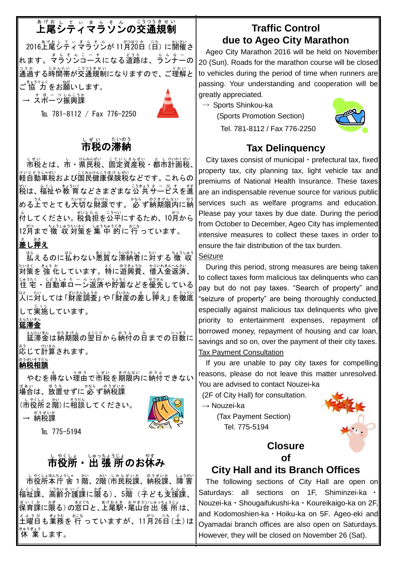# 上尾 あ げ お シティマラソン し て ぃ ま ら そ ん の交通 こうつう 規制 き せ い

2016上尾 あげお シティマラソン し て ぃ ま ら そ ん が 11月 がつ 20 はつ 日 か (日 にち )に開催 かいさい さ 、<br>れます。マラソンコースになる道路は、ランナーの っ<sub>ぅゕ</sub><br>通過する時間帯が交通規制になりますので、ご理解と ご 協 力 きょうりょく をお願 ねが いします。

→ <sup>すぽ – っしんこうか</sup><br>→ スポーツ振興課

TEL 781-8112 / Fax 776-2250



## し<sub>ぜぃ</sub><br>**市税の滞納**

しぜい<br>市税とは、市・県民税、固定資産税・都市計画税、 <sub>けいじどうしゃぜい。こくみんけんこうほけんぜい</sub><br>軽自動車税および国民健康保険税などです。これらの 戦<br>税は、福祉や教 育 などさまざまな公 共サービスを進 める上でとても大切な財源です。 必 ず納期限内に納 。<br>付してください。 税資迫を公平にするため、10月から 12月まで 徴 収 対策を集 中 的に 行 っています。

## ま<br>**差し押え**

は。<br>払えるのに払わない悪質な滞納者に対する 徴 収 <u>おきく、きょうか</u><br>対策を 強 化しています。特に遊興費、借入金返済、 <u>じゅうだく、ほうしゃろ</u>ームの説、あるないとを優先している<br>住 宅 ・自動車ローン返済や貯蓄などを優先している 。<br>人に対しては 「財産調査」 や 「財産の差し挿え」 を徹底 して実施 じっし しています。

### <u>るんたいきん</u><br>延滞金

延滞 えんたい 金 きん は納 のう 期限 きげん の翌日 よくじつ から納付 のうふ の日 ひ までの日数 にっすう に \*<sup>ぅ</sup> ¨いき。<br>応じて計算されます。

### 。<sub>。。。。。</sub>。。<br>**納税相談**

やむを得ない理由で市税を期限内に納付できない <sub>ばぁぃ</sub><br>場合は、放置せずに 必 ず納税課

(市役所2階)に相談してください。 → 納税課 のうぜいか



TEI 775-5194

## 市役所 ▪ 出 張 所のお休み

しゃくしょほんもっとも、 かい しみんぜいか このうぜいか しょうがい ☆くしゕ゠ミラキニヘゕヒ ごゕ゠゙ゕ゙゚゚゙゙゚ゕ゠ゕ゙゜ こ。しぇんゕ<br>福祉課、高齢介護課に限る)、5階(子ども支援課、 <sub>ほいくか</sub><br>保育課に限る)の窓口と、上尾駅・尾山台出 張 所は、 <sub>どようび</sub> 。<br>土曜日も業務を 行 っていますが、11月26日(土)は 休 業 きゅうぎょう します。

## **Traffic Control due to Ageo City Marathon**

 Ageo City Marathon 2016 will be held on November 20 (Sun). Roads for the marathon course will be closed to vehicles during the period of time when runners are passing. Your understanding and cooperation will be greatly appreciated.

 $\rightarrow$  Sports Shinkou-ka





### **Tax Delinquency**

City taxes consist of municipal・prefectural tax, fixed property tax, city planning tax, light vehicle tax and premiums of National Health Insurance. These taxes are an indispensable revenue source for various public services such as welfare programs and education. Please pay your taxes by due date. During the period from October to December, Ageo City has implemented intensive measures to collect these taxes in order to ensure the fair distribution of the tax burden.

#### Seizure

 During this period, strong measures are being taken to collect taxes form malicious tax delinquents who can pay but do not pay taxes. "Search of property" and "seizure of property" are being thoroughly conducted, especially against malicious tax delinquents who give priority to entertainment expenses, repayment of borrowed money, repayment of housing and car loan, savings and so on, over the payment of their city taxes. Tax Payment Consultation

If you are unable to pay city taxes for compelling reasons, please do not leave this matter unresolved. You are advised to contact Nouzei-ka

(2F of City Hall) for consultation.

→ Nouzei-ka

(Tax Payment Section) Tel. 775-5194



### **Closure of**

## **City Hall and its Branch Offices**

The following sections of City Hall are open on Saturdays: all sections on 1F, Shiminzei-ka ・ Nouzei-ka・Shougaifukushi-ka・Koureikaigo-ka on 2F, and Kodomoshien-ka・Hoiku-ka on 5F*.* Ageo-eki and Oyamadai branch offices are also open on Saturdays. However, they will be closed on November 26 (Sat).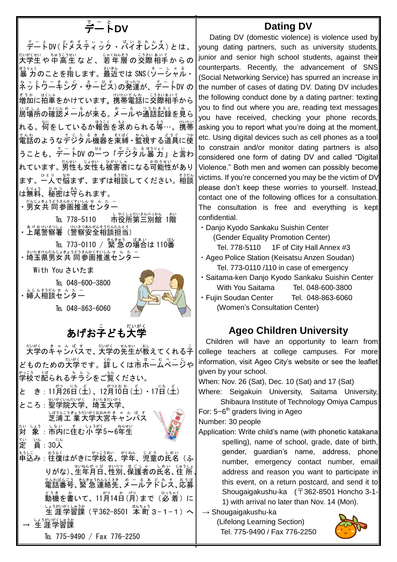## <u>デート</u>DV

デート で ー と DV(ドメスティック ど め す て ぃ っ く ・バイオレンス ば い お れ ん す )とは、 <sub>ないがもい</sub> ちゅうさむ、<br>大学生や 中 高 生 な ど 、 若 年 層 の 交際 相手 か ら の <sub>ぼうりょく</sub><br>|暴 力のことを指します。最近では SNS (ソーシャル・ ネットウニキング • ヰービス)の発達が、デートDV の <sub>てうか はくい</sup>。<br>増加に拍車をかけています。携帯電話に交際相手から</sub> ぃばしょ。☆にんぁ゠ぁ。≪くる。ヌーる。つうおきろく。ぁ<br>居場所の確認メールが来る。メールや通話記録を見ら れる。<sup>術</sup>をしているか報告を求められる等…。携帯 でんゎ<br>電話のようなデジタル機器を束縛・監視する道具に使 うことも、デートDV の一つ「デジタル暴 カ」と言わ れています。男性も女性も被害者になる<sup>おのうせい</sup><br>いちいあり ます。一人で悩まず、まずは相談してください。相談 は無料 むりょう 、秘密 ひみつ は守 まも られます。

・<del>私はままうどうな</del>がいんせん たー<br>・男女 共 同参画推進センター

TEL 778-5110 しゃくしょだいきんべっかん つかん ・よげおけいさつは、けいさつあぜんそうだんたんとう<br>・上尾警察署(警察安全相談担当)

- TEL 773-0110 / 緊急の場合は110番 ・設想協協はまうどきかくむいんせん たー<br>・埼玉県男女 共 同参画推進センター

With You さいたま

TEL 048-600-3800

・婦人相談センター<br>・婦人相談センター

TEL 048-863-6060



## あげお子ども大学

大学 だいがく のキャンパス きゃんぱす で、大学 だいがく の先生 せんせい が教 おし えてくれる子 こ どものための大学です。詳しくは市ホームページや 学校 がっこう で配 くば られるチラシ ちらし をご覧 らん ください。 と き: 11月26日(土)、12月10日(土)・17日(土) ところ: 聖学院大学、埼玉大学、 じょう。こうぎょうだいがくおみやきゃんぱ。する <sub>たい しょう しょういく ねんせい<br>**対 象 : 市内に住む 小 学5~6年生**</sub> 定 てい 。<br>賞 : 30人

申込 もうしこ み:往復 おうふく はがきに学校名 がっこうめい 、学年 がくねん 、児童 じどう の氏名 しめい (ふ りがな)、生年月日、性別、保護者の氏名、住 所、 でんわばんごう。きんきゅうれんらくさき。め ニ る あ ど れ す 、おうぼ<br>電話番号、緊 急 連絡先 、メールアドレス 、応募 <sub>どうき な</sub>たかて、11月14日(月)まで(必 着 )に ↓←<sup>ぅが</sup>\※≦ 響讓(〒362-8501 本町3−1−1)へ → 生涯学習課 TEL 775-9490 / Fax 776-2250

### **Dating DV**

Dating DV (domestic violence) is violence used by young dating partners, such as university students, junior and senior high school students, against their counterparts. Recently, the advancement of SNS (Social Networking Service) has spurred an increase in the number of cases of dating DV. Dating DV includes the following conduct done by a dating partner: texting you to find out where you are, reading text messages you have received, checking your phone records, asking you to report what you're doing at the moment, etc. Using digital devices such as cell phones as a tool to constrain and/or monitor dating partners is also considered one form of dating DV and called "Digital Violence." Both men and women can possibly become victims. If you're concerned you may be the victim of DV, please don't keep these worries to yourself. Instead, contact one of the following offices for a consultation. The consultation is free and everything is kept confidential.

・Danjo Kyodo Sankaku Suishin Center

(Gender Equality Promotion Center)

Tel. 778-5110 1F of City Hall Annex #3

・Ageo Police Station (Keisatsu Anzen Soudan) Tel. 773-0110 /110 in case of emergency

- ・Saitama-ken Danjo Kyodo Sankaku Suishin Center With You Saitama Tel. 048-600-3800
- ・Fujin Soudan Center Tel. 048-863-6060 (Women's Consultation Center)

## **Ageo Children University**

Children will have an opportunity to learn from college teachers at college campuses. For more information, visit Ageo City's website or see the leaflet given by your school.

When: Nov. 26 (Sat), Dec. 10 (Sat) and 17 (Sat)

Where: Seigakuin University, Saitama University, Shibaura Institute of Technology Omiya Campus

For:  $5-6<sup>th</sup>$  graders living in Ageo

Number: 30 people

Application: Write child's name (with phonetic katakana spelling), name of school, grade, date of birth, gender, guardian's name, address, phone number, emergency contact number, email address and reason you want to participate in this event, on a return postcard, and send it to Shougaigakushu-ka (〒362-8501 Honcho 3-1- 1) with arrival no later than Nov. 14 (Mon).

 $\rightarrow$  Shougaigakushu-ka

(Lifelong Learning Section) Tel. 775-9490 / Fax 776-2250